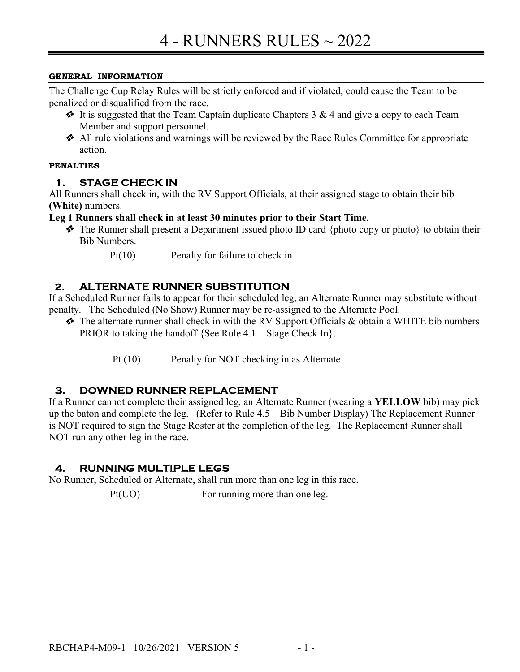#### GENERAL INFORMATION

The Challenge Cup Relay Rules will be strictly enforced and if violated, could cause the Team to be penalized or disqualified from the race.

- $\bullet$  It is suggested that the Team Captain duplicate Chapters 3 & 4 and give a copy to each Team Member and support personnel.
- All rule violations and warnings will be reviewed by the Race Rules Committee for appropriate action.

#### PENALTIES

### 1. STAGE CHECK IN

All Runners shall check in, with the RV Support Officials, at their assigned stage to obtain their bib (White) numbers.

#### Leg 1 Runners shall check in at least 30 minutes prior to their Start Time.

- $\triangle$  The Runner shall present a Department issued photo ID card {photo copy or photo} to obtain their Bib Numbers.
	- Pt(10) Penalty for failure to check in

### 2. ALTERNATE RUNNER SUBSTITUTION

If a Scheduled Runner fails to appear for their scheduled leg, an Alternate Runner may substitute without penalty. The Scheduled (No Show) Runner may be re-assigned to the Alternate Pool.

- $\triangle$  The alternate runner shall check in with the RV Support Officials & obtain a WHITE bib numbers PRIOR to taking the handoff {See Rule  $4.1 -$  Stage Check In}.
	- Pt (10) Penalty for NOT checking in as Alternate.

#### 3. DOWNED RUNNER REPLACEMENT

If a Runner cannot complete their assigned leg, an Alternate Runner (wearing a YELLOW bib) may pick up the baton and complete the leg. (Refer to Rule 4.5 – Bib Number Display) The Replacement Runner is NOT required to sign the Stage Roster at the completion of the leg. The Replacement Runner shall NOT run any other leg in the race.

#### 4. RUNNING MULTIPLE LEGS

No Runner, Scheduled or Alternate, shall run more than one leg in this race.

Pt(UO) For running more than one leg.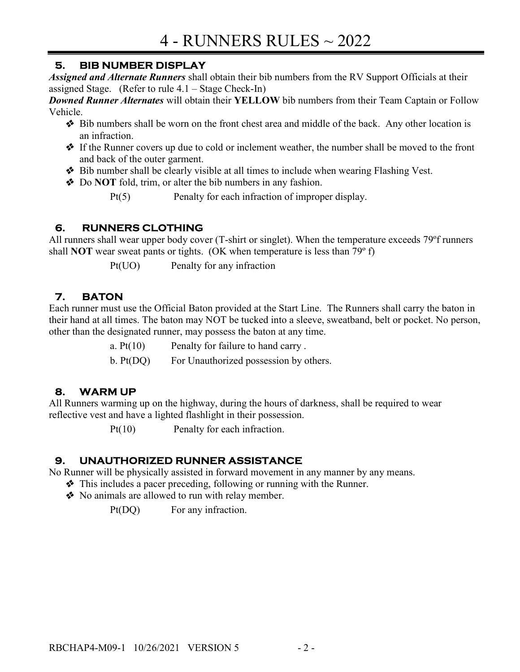## 5. BIB NUMBER DISPLAY

Assigned and Alternate Runners shall obtain their bib numbers from the RV Support Officials at their assigned Stage. (Refer to rule 4.1 – Stage Check-In)

**Downed Runner Alternates** will obtain their YELLOW bib numbers from their Team Captain or Follow Vehicle.

- **Example 1** Bib numbers shall be worn on the front chest area and middle of the back. Any other location is an infraction.
- If the Runner covers up due to cold or inclement weather, the number shall be moved to the front and back of the outer garment.
- ◆ Bib number shall be clearly visible at all times to include when wearing Flashing Vest.
- ◆ Do NOT fold, trim, or alter the bib numbers in any fashion.

# 6. RUNNERS CLOTHING

All runners shall wear upper body cover (T-shirt or singlet). When the temperature exceeds 79ºf runners shall **NOT** wear sweat pants or tights. (OK when temperature is less than  $79^{\circ}$  f)

Pt(UO) Penalty for any infraction

# 7. BATON

Each runner must use the Official Baton provided at the Start Line. The Runners shall carry the baton in their hand at all times. The baton may NOT be tucked into a sleeve, sweatband, belt or pocket. No person, other than the designated runner, may possess the baton at any time.

a.  $Pt(10)$  Penalty for failure to hand carry.

b. Pt(DQ) For Unauthorized possession by others.

# 8. WARM UP

All Runners warming up on the highway, during the hours of darkness, shall be required to wear reflective vest and have a lighted flashlight in their possession.

Pt(10) Penalty for each infraction.

# 9. UNAUTHORIZED RUNNER ASSISTANCE

No Runner will be physically assisted in forward movement in any manner by any means.

- This includes a pacer preceding, following or running with the Runner.
	- \* No animals are allowed to run with relay member.

Pt(DQ) For any infraction.

Pt(5) Penalty for each infraction of improper display.